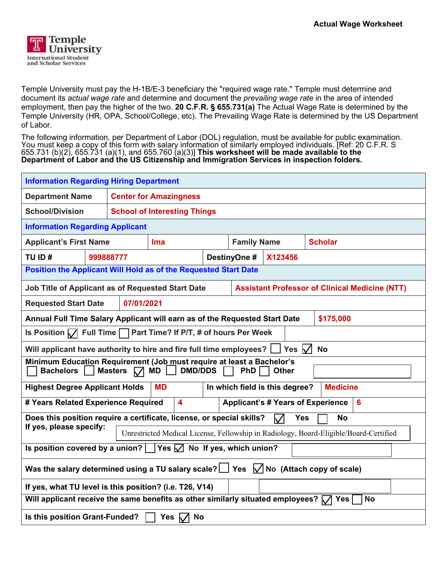

Temple University must pay the H-1B/E-3 beneficiary the "required wage rate." Temple must determine and document its *actual wage rate* and determine and document the *prevailing wage rate* in the area of intended employment, then pay the higher of the two. **20 C.F.R. § 655.731(a)** The Actual Wage Rate is determined by the Temple University (HR, OPA, School/College, etc). The Prevailing Wage Rate is determined by the US Department of Labor.

The following information, per Department of Labor (DOL) regulation, must be available for public examination. You must keep a copy of this form with salary information of similarly employed individuals. [Ref: 20 C.F.R. S 655.731 (b)(2), 655.731 (a)(1), and 655.760 (a)(3)] **This worksheet will be made available to the Department of Labor and the US Citizenship and Immigration Services in inspection folders.** 

| <b>Information Regarding Hiring Department</b>                                                                                                                           |           |                                                                                       |                                     |  |                         |                    |  |                |  |
|--------------------------------------------------------------------------------------------------------------------------------------------------------------------------|-----------|---------------------------------------------------------------------------------------|-------------------------------------|--|-------------------------|--------------------|--|----------------|--|
| <b>Department Name</b>                                                                                                                                                   |           | <b>Center for Amazingness</b>                                                         |                                     |  |                         |                    |  |                |  |
| <b>School/Division</b>                                                                                                                                                   |           |                                                                                       | <b>School of Interesting Things</b> |  |                         |                    |  |                |  |
| <b>Information Regarding Applicant</b>                                                                                                                                   |           |                                                                                       |                                     |  |                         |                    |  |                |  |
| <b>Applicant's First Name</b>                                                                                                                                            |           |                                                                                       | <b>Ima</b>                          |  |                         | <b>Family Name</b> |  | <b>Scholar</b> |  |
| TU ID#                                                                                                                                                                   | 999888777 |                                                                                       |                                     |  | DestinyOne #<br>X123456 |                    |  |                |  |
| Position the Applicant Will Hold as of the Requested Start Date                                                                                                          |           |                                                                                       |                                     |  |                         |                    |  |                |  |
| Job Title of Applicant as of Requested Start Date<br><b>Assistant Professor of Clinical Medicine (NTT)</b>                                                               |           |                                                                                       |                                     |  |                         |                    |  |                |  |
| 07/01/2021<br><b>Requested Start Date</b>                                                                                                                                |           |                                                                                       |                                     |  |                         |                    |  |                |  |
| Annual Full Time Salary Applicant will earn as of the Requested Start Date<br>\$175,000                                                                                  |           |                                                                                       |                                     |  |                         |                    |  |                |  |
| <b>Full Time</b><br>Part Time? If P/T, # of hours Per Week<br>Is Position $\sqrt{ }$                                                                                     |           |                                                                                       |                                     |  |                         |                    |  |                |  |
| Yes $\sqrt{}$<br>Will applicant have authority to hire and fire full time employees?    <br><b>No</b>                                                                    |           |                                                                                       |                                     |  |                         |                    |  |                |  |
| Minimum Education Requirement (Job must require at least a Bachelor's<br><b>DMD/DDS</b><br><b>Bachelors</b><br><b>Masters</b><br><b>MD</b><br><b>PhD</b><br><b>Other</b> |           |                                                                                       |                                     |  |                         |                    |  |                |  |
| In which field is this degree?<br><b>Highest Degree Applicant Holds</b><br><b>Medicine</b><br><b>MD</b>                                                                  |           |                                                                                       |                                     |  |                         |                    |  |                |  |
| # Years Related Experience Required<br>4<br><b>Applicant's # Years of Experience</b><br>6                                                                                |           |                                                                                       |                                     |  |                         |                    |  |                |  |
| Does this position require a certificate, license, or special skills?<br><b>Yes</b><br><b>No</b>                                                                         |           |                                                                                       |                                     |  |                         |                    |  |                |  |
| If yes, please specify:                                                                                                                                                  |           | Unrestricted Medical License, Fellowship in Radiology, Board-Eligible/Board-Certified |                                     |  |                         |                    |  |                |  |
| Is position covered by a union? $\vert \ \vert$ Yes $\Box$ No If yes, which union?                                                                                       |           |                                                                                       |                                     |  |                         |                    |  |                |  |
| Was the salary determined using a TU salary scale? $\Box$ Yes $\Box$ No (Attach copy of scale)                                                                           |           |                                                                                       |                                     |  |                         |                    |  |                |  |
| If yes, what TU level is this position? (i.e. T26, V14)                                                                                                                  |           |                                                                                       |                                     |  |                         |                    |  |                |  |
| Will applicant receive the same benefits as other similarly situated employees? $\sqrt{ }$ Yes<br><b>No</b>                                                              |           |                                                                                       |                                     |  |                         |                    |  |                |  |
| <b>No</b><br>Is this position Grant-Funded?<br>Yes $\sqrt{}$                                                                                                             |           |                                                                                       |                                     |  |                         |                    |  |                |  |